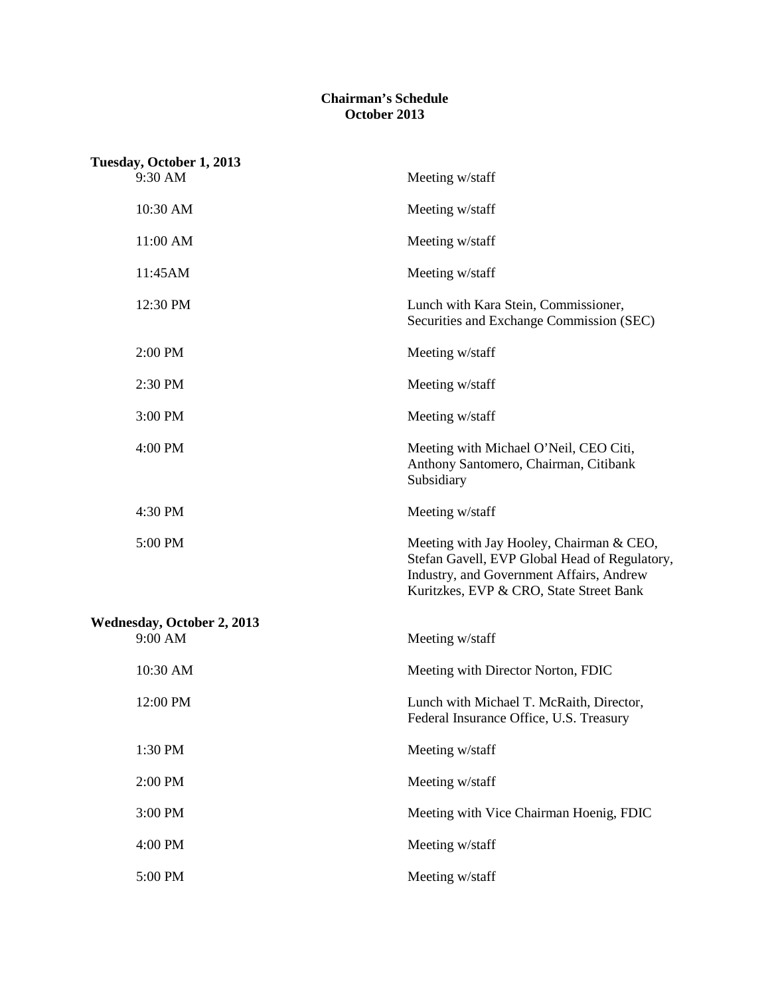## **Chairman's Schedule October 2013**

| Tuesday, October 1, 2013   |                                                                                                                                                                                  |
|----------------------------|----------------------------------------------------------------------------------------------------------------------------------------------------------------------------------|
| 9:30 AM                    | Meeting w/staff                                                                                                                                                                  |
| 10:30 AM                   | Meeting w/staff                                                                                                                                                                  |
| 11:00 AM                   | Meeting w/staff                                                                                                                                                                  |
| 11:45AM                    | Meeting w/staff                                                                                                                                                                  |
| 12:30 PM                   | Lunch with Kara Stein, Commissioner,<br>Securities and Exchange Commission (SEC)                                                                                                 |
| 2:00 PM                    | Meeting w/staff                                                                                                                                                                  |
| 2:30 PM                    | Meeting w/staff                                                                                                                                                                  |
| 3:00 PM                    | Meeting w/staff                                                                                                                                                                  |
| 4:00 PM                    | Meeting with Michael O'Neil, CEO Citi,<br>Anthony Santomero, Chairman, Citibank<br>Subsidiary                                                                                    |
| 4:30 PM                    | Meeting w/staff                                                                                                                                                                  |
| 5:00 PM                    | Meeting with Jay Hooley, Chairman & CEO,<br>Stefan Gavell, EVP Global Head of Regulatory,<br>Industry, and Government Affairs, Andrew<br>Kuritzkes, EVP & CRO, State Street Bank |
| Wednesday, October 2, 2013 |                                                                                                                                                                                  |
| 9:00 AM                    | Meeting w/staff                                                                                                                                                                  |
| 10:30 AM                   | Meeting with Director Norton, FDIC                                                                                                                                               |
| 12:00 PM                   | Lunch with Michael T. McRaith, Director,<br>Federal Insurance Office, U.S. Treasury                                                                                              |
| 1:30 PM                    | Meeting w/staff                                                                                                                                                                  |
| 2:00 PM                    | Meeting w/staff                                                                                                                                                                  |
| 3:00 PM                    | Meeting with Vice Chairman Hoenig, FDIC                                                                                                                                          |
| 4:00 PM                    | Meeting w/staff                                                                                                                                                                  |
| 5:00 PM                    | Meeting w/staff                                                                                                                                                                  |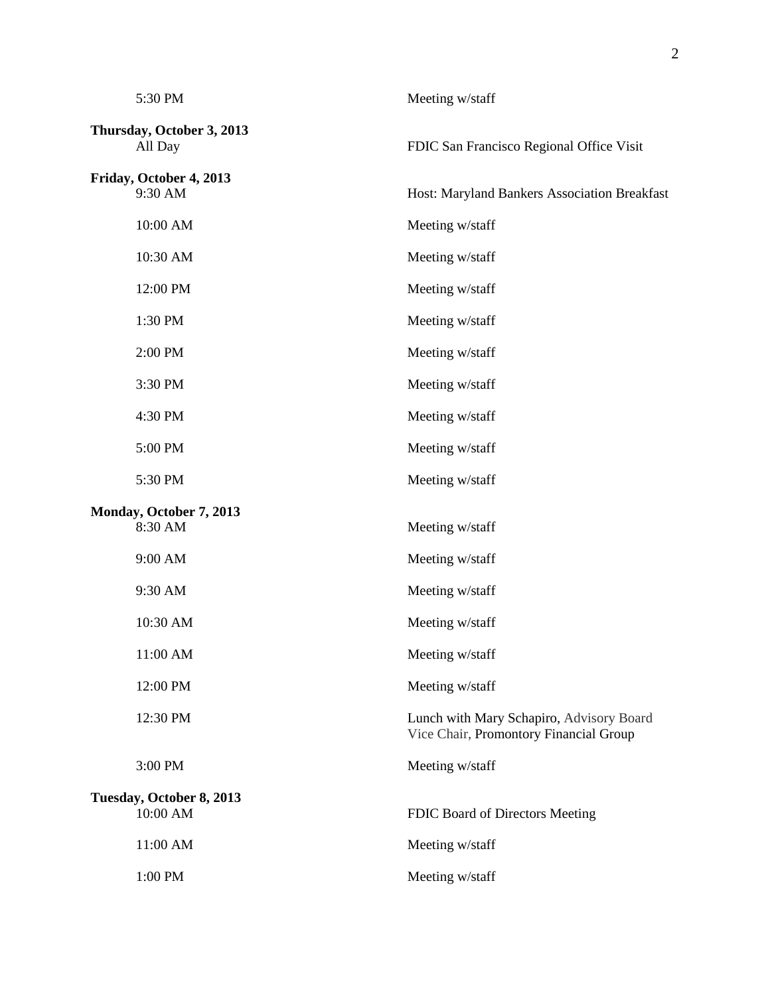| 5:30 PM                              | Meeting w/staff                                                                    |
|--------------------------------------|------------------------------------------------------------------------------------|
| Thursday, October 3, 2013<br>All Day | FDIC San Francisco Regional Office Visit                                           |
| Friday, October 4, 2013<br>9:30 AM   | Host: Maryland Bankers Association Breakfast                                       |
| 10:00 AM                             | Meeting w/staff                                                                    |
| 10:30 AM                             | Meeting w/staff                                                                    |
| 12:00 PM                             | Meeting w/staff                                                                    |
| 1:30 PM                              | Meeting w/staff                                                                    |
| 2:00 PM                              | Meeting w/staff                                                                    |
| 3:30 PM                              | Meeting w/staff                                                                    |
| 4:30 PM                              | Meeting w/staff                                                                    |
| 5:00 PM                              | Meeting w/staff                                                                    |
| 5:30 PM                              | Meeting w/staff                                                                    |
| Monday, October 7, 2013<br>8:30 AM   | Meeting w/staff                                                                    |
| 9:00 AM                              | Meeting w/staff                                                                    |
| 9:30 AM                              | Meeting w/staff                                                                    |
| 10:30 AM                             | Meeting w/staff                                                                    |
| 11:00 AM                             | Meeting w/staff                                                                    |
| 12:00 PM                             | Meeting w/staff                                                                    |
| 12:30 PM                             | Lunch with Mary Schapiro, Advisory Board<br>Vice Chair, Promontory Financial Group |
| 3:00 PM                              | Meeting w/staff                                                                    |
| Tuesday, October 8, 2013<br>10:00 AM | FDIC Board of Directors Meeting                                                    |
| 11:00 AM                             | Meeting w/staff                                                                    |
| 1:00 PM                              | Meeting w/staff                                                                    |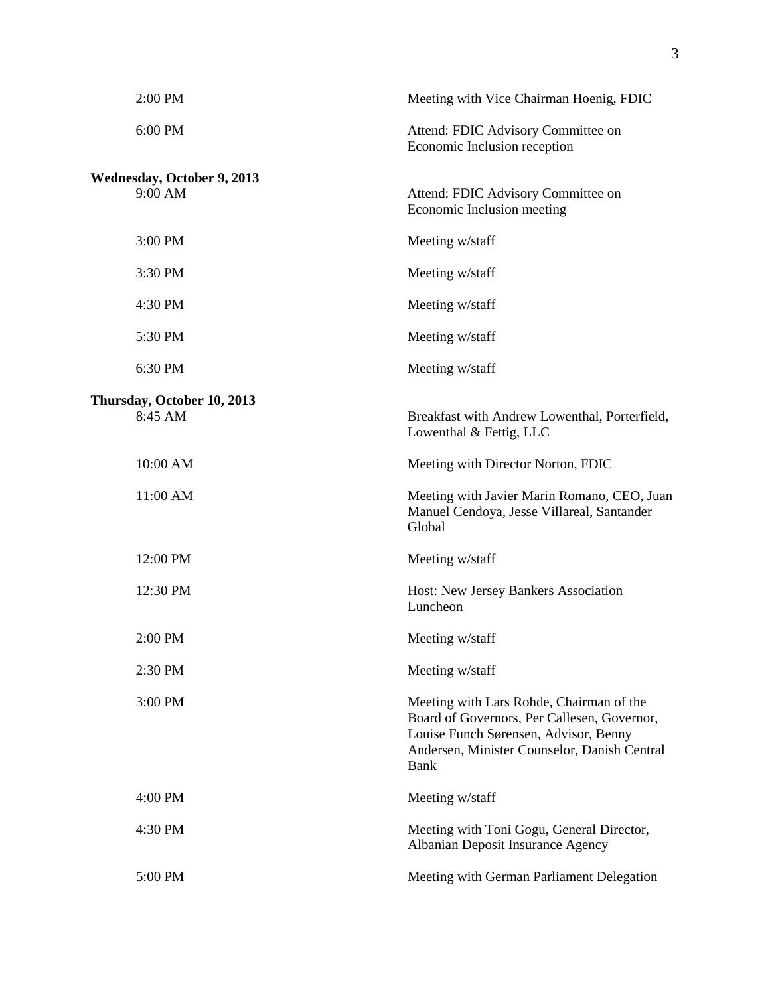| 2:00 PM                                      | Meeting with Vice Chairman Hoenig, FDIC                                                                                                                                                         |
|----------------------------------------------|-------------------------------------------------------------------------------------------------------------------------------------------------------------------------------------------------|
| 6:00 PM                                      | Attend: FDIC Advisory Committee on<br>Economic Inclusion reception                                                                                                                              |
| <b>Wednesday, October 9, 2013</b><br>9:00 AM | Attend: FDIC Advisory Committee on<br>Economic Inclusion meeting                                                                                                                                |
| 3:00 PM                                      | Meeting w/staff                                                                                                                                                                                 |
| 3:30 PM                                      | Meeting w/staff                                                                                                                                                                                 |
| 4:30 PM                                      | Meeting w/staff                                                                                                                                                                                 |
| 5:30 PM                                      | Meeting w/staff                                                                                                                                                                                 |
| 6:30 PM                                      | Meeting w/staff                                                                                                                                                                                 |
| Thursday, October 10, 2013<br>8:45 AM        | Breakfast with Andrew Lowenthal, Porterfield,<br>Lowenthal & Fettig, LLC                                                                                                                        |
| 10:00 AM                                     | Meeting with Director Norton, FDIC                                                                                                                                                              |
| 11:00 AM                                     | Meeting with Javier Marin Romano, CEO, Juan<br>Manuel Cendoya, Jesse Villareal, Santander<br>Global                                                                                             |
| 12:00 PM                                     | Meeting w/staff                                                                                                                                                                                 |
| 12:30 PM                                     | Host: New Jersey Bankers Association<br>Luncheon                                                                                                                                                |
| 2:00 PM                                      | Meeting w/staff                                                                                                                                                                                 |
| 2:30 PM                                      | Meeting w/staff                                                                                                                                                                                 |
| 3:00 PM                                      | Meeting with Lars Rohde, Chairman of the<br>Board of Governors, Per Callesen, Governor,<br>Louise Funch Sørensen, Advisor, Benny<br>Andersen, Minister Counselor, Danish Central<br><b>Bank</b> |
| 4:00 PM                                      | Meeting w/staff                                                                                                                                                                                 |
| 4:30 PM                                      | Meeting with Toni Gogu, General Director,<br>Albanian Deposit Insurance Agency                                                                                                                  |
| 5:00 PM                                      | Meeting with German Parliament Delegation                                                                                                                                                       |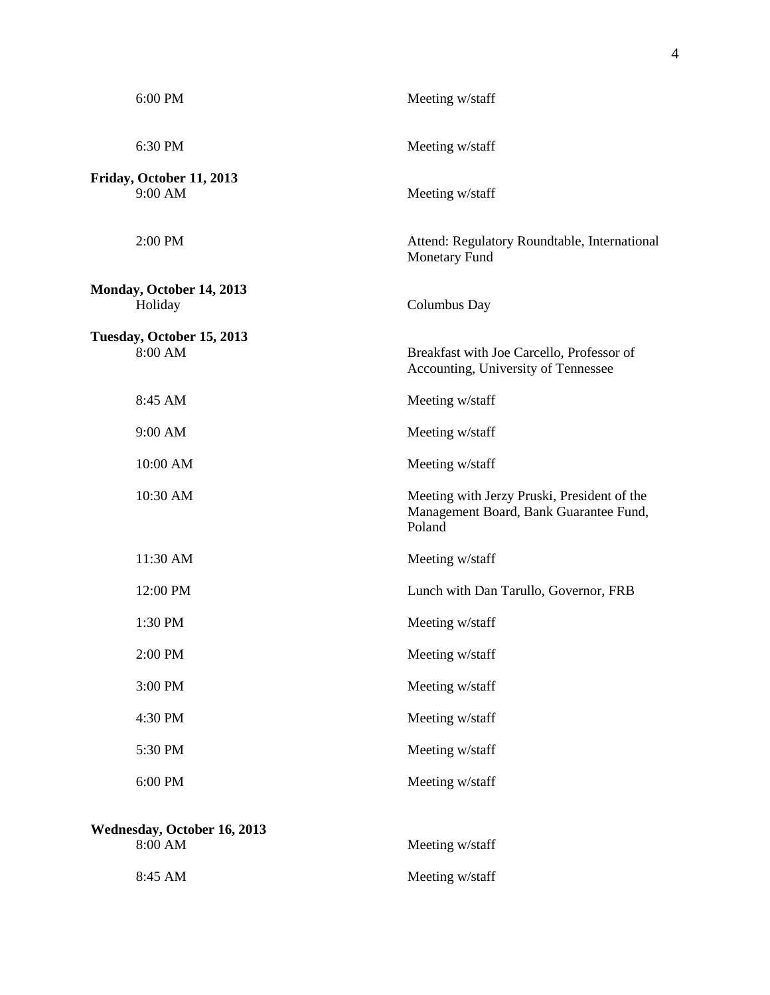| 6:00 PM                                | Meeting w/staff                                                                                 |
|----------------------------------------|-------------------------------------------------------------------------------------------------|
| 6:30 PM                                | Meeting w/staff                                                                                 |
| Friday, October 11, 2013<br>9:00 AM    | Meeting w/staff                                                                                 |
| 2:00 PM                                | Attend: Regulatory Roundtable, International<br>Monetary Fund                                   |
| Monday, October 14, 2013<br>Holiday    | Columbus Day                                                                                    |
| Tuesday, October 15, 2013<br>8:00 AM   | Breakfast with Joe Carcello, Professor of<br>Accounting, University of Tennessee                |
| 8:45 AM                                | Meeting w/staff                                                                                 |
| 9:00 AM                                | Meeting w/staff                                                                                 |
| 10:00 AM                               | Meeting w/staff                                                                                 |
| 10:30 AM                               | Meeting with Jerzy Pruski, President of the<br>Management Board, Bank Guarantee Fund,<br>Poland |
| 11:30 AM                               | Meeting w/staff                                                                                 |
| 12:00 PM                               | Lunch with Dan Tarullo, Governor, FRB                                                           |
| 1:30 PM                                | Meeting w/staff                                                                                 |
| 2:00 PM                                | Meeting w/staff                                                                                 |
| 3:00 PM                                | Meeting w/staff                                                                                 |
| 4:30 PM                                | Meeting w/staff                                                                                 |
| 5:30 PM                                | Meeting w/staff                                                                                 |
| 6:00 PM                                | Meeting w/staff                                                                                 |
| Wednesday, October 16, 2013<br>8:00 AM | Meeting w/staff                                                                                 |
| 8:45 AM                                | Meeting w/staff                                                                                 |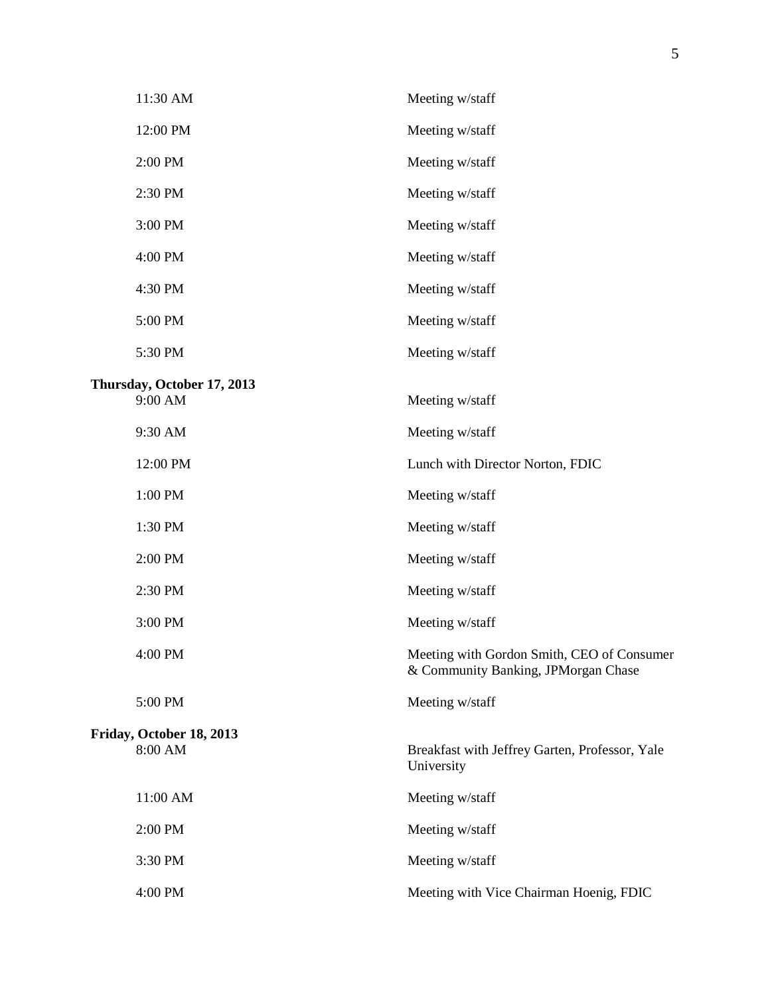| 11:30 AM                              | Meeting w/staff                                                                   |
|---------------------------------------|-----------------------------------------------------------------------------------|
| 12:00 PM                              | Meeting w/staff                                                                   |
| 2:00 PM                               | Meeting w/staff                                                                   |
| 2:30 PM                               | Meeting w/staff                                                                   |
| 3:00 PM                               | Meeting w/staff                                                                   |
| 4:00 PM                               | Meeting w/staff                                                                   |
| 4:30 PM                               | Meeting w/staff                                                                   |
| 5:00 PM                               | Meeting w/staff                                                                   |
| 5:30 PM                               | Meeting w/staff                                                                   |
| Thursday, October 17, 2013<br>9:00 AM | Meeting w/staff                                                                   |
| 9:30 AM                               | Meeting w/staff                                                                   |
| 12:00 PM                              | Lunch with Director Norton, FDIC                                                  |
| 1:00 PM                               | Meeting w/staff                                                                   |
| 1:30 PM                               | Meeting w/staff                                                                   |
| 2:00 PM                               | Meeting w/staff                                                                   |
| 2:30 PM                               | Meeting w/staff                                                                   |
| 3:00 PM                               | Meeting w/staff                                                                   |
| 4:00 PM                               | Meeting with Gordon Smith, CEO of Consumer<br>& Community Banking, JPMorgan Chase |
| 5:00 PM                               | Meeting w/staff                                                                   |
| Friday, October 18, 2013<br>8:00 AM   | Breakfast with Jeffrey Garten, Professor, Yale<br>University                      |
| 11:00 AM                              | Meeting w/staff                                                                   |
| 2:00 PM                               | Meeting w/staff                                                                   |
| 3:30 PM                               | Meeting w/staff                                                                   |
| 4:00 PM                               | Meeting with Vice Chairman Hoenig, FDIC                                           |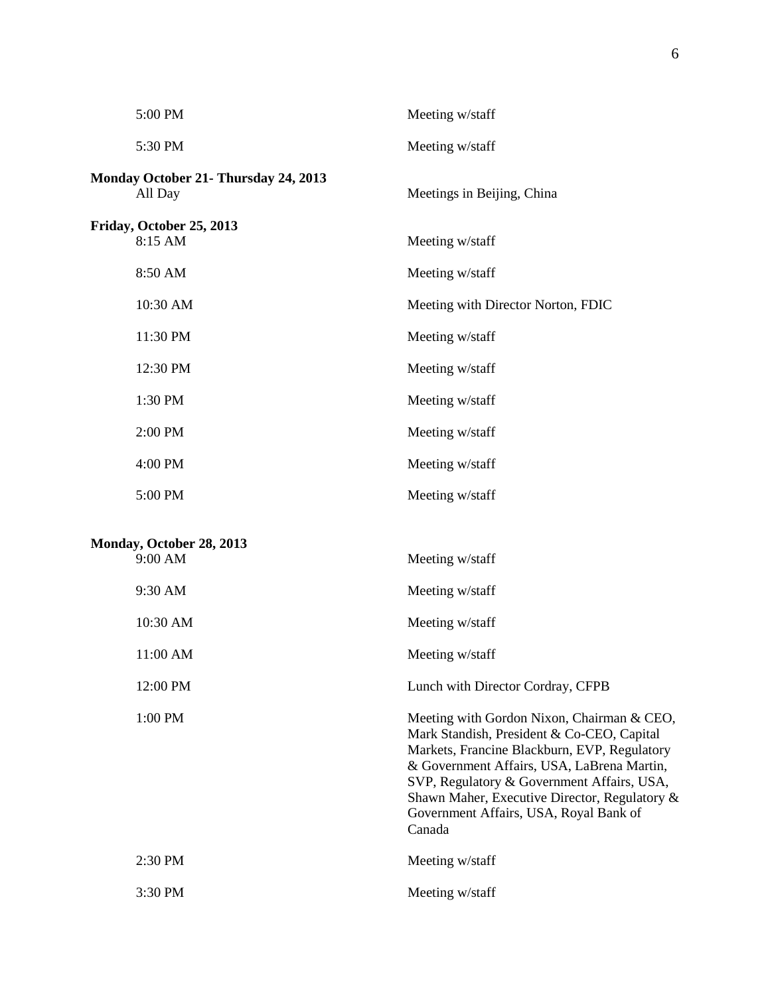| 5:00 PM                                         | Meeting w/staff                                                                                                                                                                                                                                                                                                                           |
|-------------------------------------------------|-------------------------------------------------------------------------------------------------------------------------------------------------------------------------------------------------------------------------------------------------------------------------------------------------------------------------------------------|
| 5:30 PM                                         | Meeting w/staff                                                                                                                                                                                                                                                                                                                           |
| Monday October 21- Thursday 24, 2013<br>All Day | Meetings in Beijing, China                                                                                                                                                                                                                                                                                                                |
| Friday, October 25, 2013<br>8:15 AM             | Meeting w/staff                                                                                                                                                                                                                                                                                                                           |
| 8:50 AM                                         | Meeting w/staff                                                                                                                                                                                                                                                                                                                           |
| 10:30 AM                                        | Meeting with Director Norton, FDIC                                                                                                                                                                                                                                                                                                        |
| 11:30 PM                                        | Meeting w/staff                                                                                                                                                                                                                                                                                                                           |
| 12:30 PM                                        | Meeting w/staff                                                                                                                                                                                                                                                                                                                           |
| 1:30 PM                                         | Meeting w/staff                                                                                                                                                                                                                                                                                                                           |
| 2:00 PM                                         | Meeting w/staff                                                                                                                                                                                                                                                                                                                           |
| 4:00 PM                                         | Meeting w/staff                                                                                                                                                                                                                                                                                                                           |
| 5:00 PM                                         | Meeting w/staff                                                                                                                                                                                                                                                                                                                           |
| Monday, October 28, 2013<br>9:00 AM             | Meeting w/staff                                                                                                                                                                                                                                                                                                                           |
| 9:30 AM                                         | Meeting w/staff                                                                                                                                                                                                                                                                                                                           |
| 10:30 AM                                        | Meeting w/staff                                                                                                                                                                                                                                                                                                                           |
| 11:00 AM                                        | Meeting w/staff                                                                                                                                                                                                                                                                                                                           |
| 12:00 PM                                        | Lunch with Director Cordray, CFPB                                                                                                                                                                                                                                                                                                         |
| 1:00 PM                                         | Meeting with Gordon Nixon, Chairman & CEO,<br>Mark Standish, President & Co-CEO, Capital<br>Markets, Francine Blackburn, EVP, Regulatory<br>& Government Affairs, USA, LaBrena Martin,<br>SVP, Regulatory & Government Affairs, USA,<br>Shawn Maher, Executive Director, Regulatory &<br>Government Affairs, USA, Royal Bank of<br>Canada |
| 2:30 PM                                         | Meeting w/staff                                                                                                                                                                                                                                                                                                                           |
| 3:30 PM                                         | Meeting w/staff                                                                                                                                                                                                                                                                                                                           |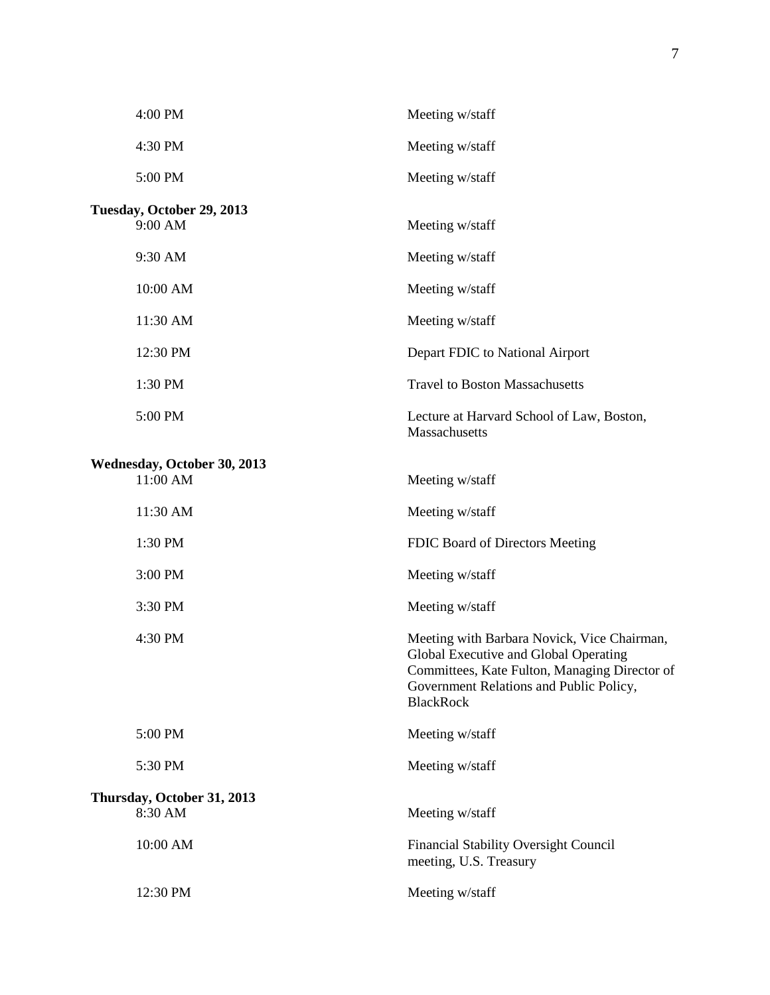| 4:00 PM                                 | Meeting w/staff                                                                                                                                                                                      |
|-----------------------------------------|------------------------------------------------------------------------------------------------------------------------------------------------------------------------------------------------------|
| 4:30 PM                                 | Meeting w/staff                                                                                                                                                                                      |
| 5:00 PM                                 | Meeting w/staff                                                                                                                                                                                      |
| Tuesday, October 29, 2013<br>9:00 AM    | Meeting w/staff                                                                                                                                                                                      |
| 9:30 AM                                 | Meeting w/staff                                                                                                                                                                                      |
| 10:00 AM                                | Meeting w/staff                                                                                                                                                                                      |
| 11:30 AM                                | Meeting w/staff                                                                                                                                                                                      |
| 12:30 PM                                | Depart FDIC to National Airport                                                                                                                                                                      |
| 1:30 PM                                 | <b>Travel to Boston Massachusetts</b>                                                                                                                                                                |
| 5:00 PM                                 | Lecture at Harvard School of Law, Boston,<br>Massachusetts                                                                                                                                           |
| Wednesday, October 30, 2013<br>11:00 AM | Meeting w/staff                                                                                                                                                                                      |
| 11:30 AM                                | Meeting w/staff                                                                                                                                                                                      |
| 1:30 PM                                 | FDIC Board of Directors Meeting                                                                                                                                                                      |
| 3:00 PM                                 | Meeting w/staff                                                                                                                                                                                      |
| 3:30 PM                                 | Meeting w/staff                                                                                                                                                                                      |
| 4:30 PM                                 | Meeting with Barbara Novick, Vice Chairman,<br>Global Executive and Global Operating<br>Committees, Kate Fulton, Managing Director of<br>Government Relations and Public Policy,<br><b>BlackRock</b> |
| 5:00 PM                                 | Meeting w/staff                                                                                                                                                                                      |
| 5:30 PM                                 | Meeting w/staff                                                                                                                                                                                      |
| Thursday, October 31, 2013<br>8:30 AM   | Meeting w/staff                                                                                                                                                                                      |
| 10:00 AM                                | Financial Stability Oversight Council<br>meeting, U.S. Treasury                                                                                                                                      |
| 12:30 PM                                | Meeting w/staff                                                                                                                                                                                      |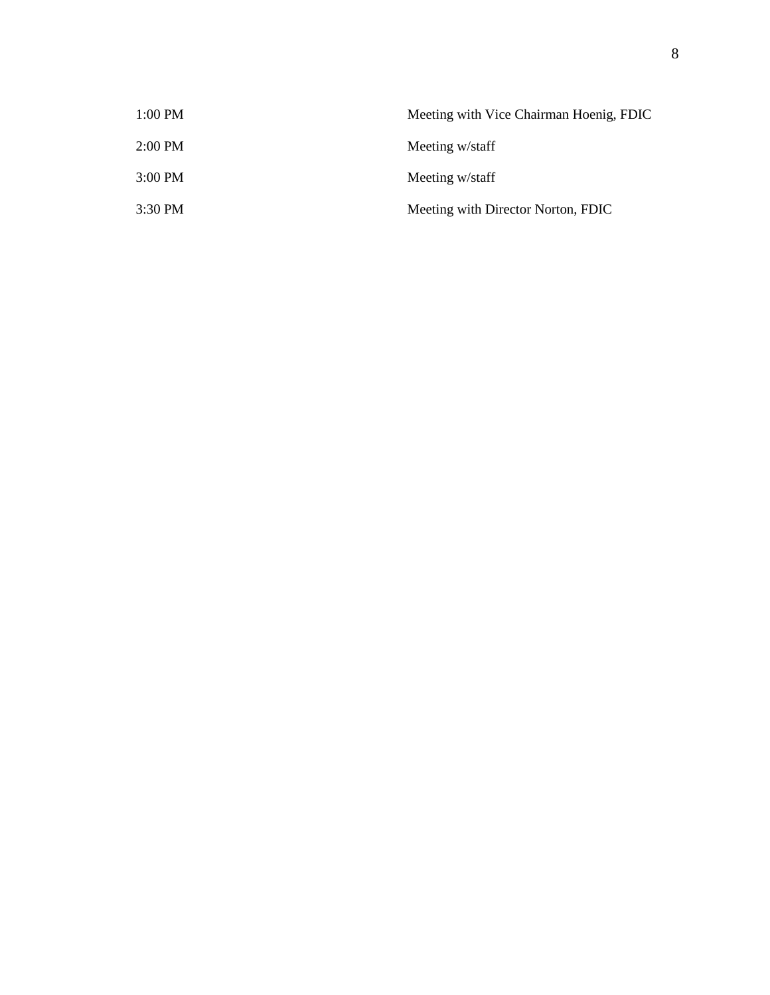| 1:00 PM | Meeting with Vice Chairman Hoenig, FDIC |
|---------|-----------------------------------------|
| 2:00 PM | Meeting w/staff                         |
| 3:00 PM | Meeting w/staff                         |
| 3:30 PM | Meeting with Director Norton, FDIC      |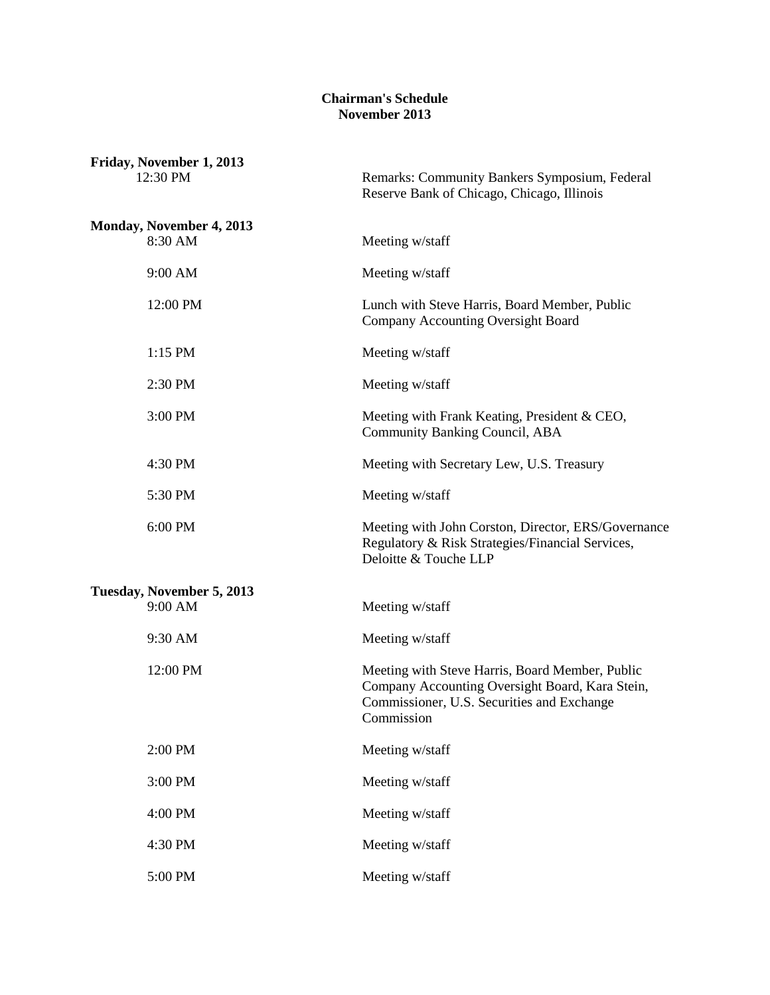## **Chairman's Schedule November 2013**

| Friday, November 1, 2013<br>12:30 PM | Remarks: Community Bankers Symposium, Federal<br>Reserve Bank of Chicago, Chicago, Illinois                                                                    |
|--------------------------------------|----------------------------------------------------------------------------------------------------------------------------------------------------------------|
| Monday, November 4, 2013             |                                                                                                                                                                |
| 8:30 AM                              | Meeting w/staff                                                                                                                                                |
| 9:00 AM                              | Meeting w/staff                                                                                                                                                |
| 12:00 PM                             | Lunch with Steve Harris, Board Member, Public<br>Company Accounting Oversight Board                                                                            |
| 1:15 PM                              | Meeting w/staff                                                                                                                                                |
| 2:30 PM                              | Meeting w/staff                                                                                                                                                |
| 3:00 PM                              | Meeting with Frank Keating, President & CEO,<br>Community Banking Council, ABA                                                                                 |
| 4:30 PM                              | Meeting with Secretary Lew, U.S. Treasury                                                                                                                      |
| 5:30 PM                              | Meeting w/staff                                                                                                                                                |
| 6:00 PM                              | Meeting with John Corston, Director, ERS/Governance<br>Regulatory & Risk Strategies/Financial Services,<br>Deloitte & Touche LLP                               |
| Tuesday, November 5, 2013            |                                                                                                                                                                |
| 9:00 AM                              | Meeting w/staff                                                                                                                                                |
| 9:30 AM                              | Meeting w/staff                                                                                                                                                |
| 12:00 PM                             | Meeting with Steve Harris, Board Member, Public<br>Company Accounting Oversight Board, Kara Stein,<br>Commissioner, U.S. Securities and Exchange<br>Commission |
| 2:00 PM                              | Meeting w/staff                                                                                                                                                |
| 3:00 PM                              | Meeting w/staff                                                                                                                                                |
| 4:00 PM                              | Meeting w/staff                                                                                                                                                |
| 4:30 PM                              | Meeting w/staff                                                                                                                                                |
| 5:00 PM                              | Meeting w/staff                                                                                                                                                |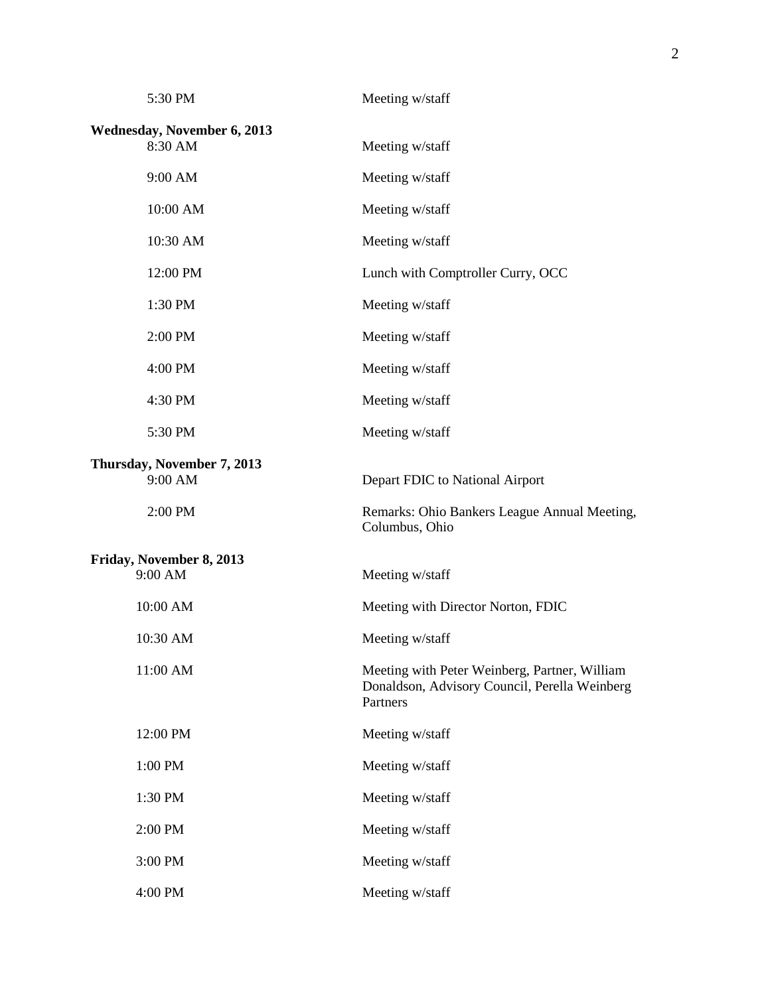| 5:30 PM                               | Meeting w/staff                                                                                            |  |  |
|---------------------------------------|------------------------------------------------------------------------------------------------------------|--|--|
| Wednesday, November 6, 2013           |                                                                                                            |  |  |
| 8:30 AM                               | Meeting w/staff                                                                                            |  |  |
| 9:00 AM                               | Meeting w/staff                                                                                            |  |  |
| 10:00 AM                              | Meeting w/staff                                                                                            |  |  |
| 10:30 AM                              | Meeting w/staff                                                                                            |  |  |
| 12:00 PM                              | Lunch with Comptroller Curry, OCC                                                                          |  |  |
| 1:30 PM                               | Meeting w/staff                                                                                            |  |  |
| 2:00 PM                               | Meeting w/staff                                                                                            |  |  |
| 4:00 PM                               | Meeting w/staff                                                                                            |  |  |
| 4:30 PM                               | Meeting w/staff                                                                                            |  |  |
| 5:30 PM                               | Meeting w/staff                                                                                            |  |  |
| Thursday, November 7, 2013<br>9:00 AM | Depart FDIC to National Airport                                                                            |  |  |
| 2:00 PM                               | Remarks: Ohio Bankers League Annual Meeting,<br>Columbus, Ohio                                             |  |  |
| Friday, November 8, 2013              |                                                                                                            |  |  |
| 9:00 AM                               | Meeting w/staff                                                                                            |  |  |
| 10:00 AM                              | Meeting with Director Norton, FDIC                                                                         |  |  |
| 10:30 AM                              | Meeting w/staff                                                                                            |  |  |
| 11:00 AM                              | Meeting with Peter Weinberg, Partner, William<br>Donaldson, Advisory Council, Perella Weinberg<br>Partners |  |  |
| 12:00 PM                              | Meeting w/staff                                                                                            |  |  |
| 1:00 PM                               | Meeting w/staff                                                                                            |  |  |
| 1:30 PM                               | Meeting w/staff                                                                                            |  |  |
| 2:00 PM                               | Meeting w/staff                                                                                            |  |  |
| 3:00 PM                               | Meeting w/staff                                                                                            |  |  |
| 4:00 PM                               | Meeting w/staff                                                                                            |  |  |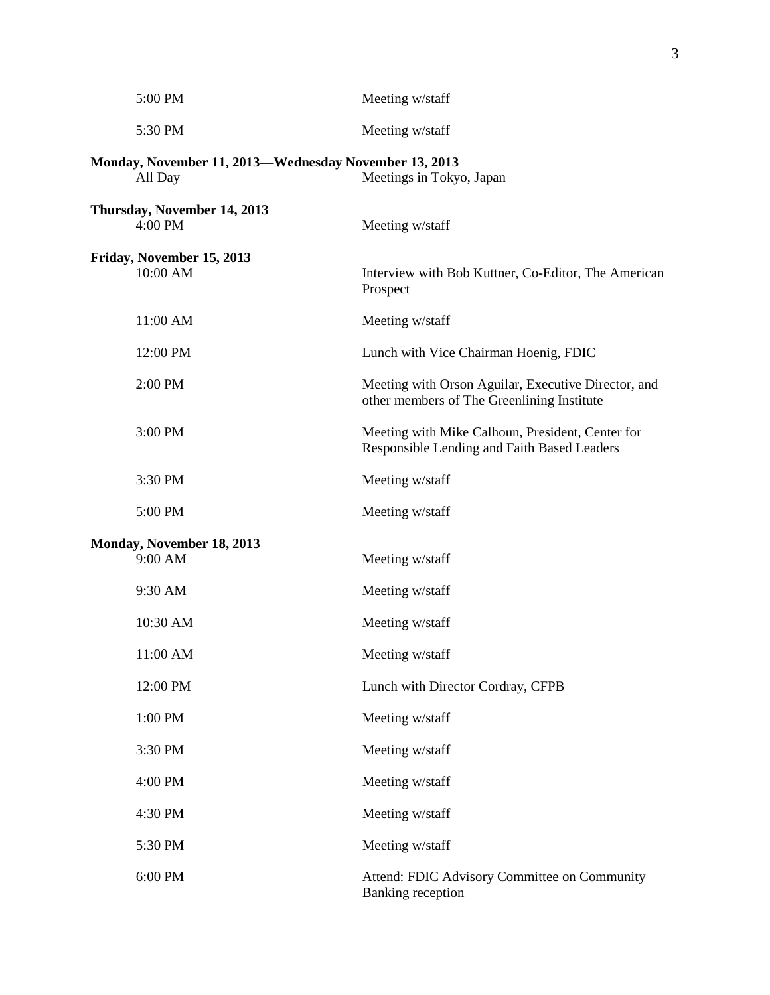|                                  | 5:00 PM                                                          | Meeting w/staff                                                                                   |
|----------------------------------|------------------------------------------------------------------|---------------------------------------------------------------------------------------------------|
|                                  | 5:30 PM                                                          | Meeting w/staff                                                                                   |
|                                  | Monday, November 11, 2013—Wednesday November 13, 2013<br>All Day | Meetings in Tokyo, Japan                                                                          |
|                                  | Thursday, November 14, 2013<br>4:00 PM                           | Meeting w/staff                                                                                   |
|                                  | Friday, November 15, 2013<br>10:00 AM                            | Interview with Bob Kuttner, Co-Editor, The American<br>Prospect                                   |
|                                  | 11:00 AM                                                         | Meeting w/staff                                                                                   |
|                                  | 12:00 PM                                                         | Lunch with Vice Chairman Hoenig, FDIC                                                             |
|                                  | 2:00 PM                                                          | Meeting with Orson Aguilar, Executive Director, and<br>other members of The Greenlining Institute |
|                                  | 3:00 PM                                                          | Meeting with Mike Calhoun, President, Center for<br>Responsible Lending and Faith Based Leaders   |
|                                  | 3:30 PM                                                          | Meeting w/staff                                                                                   |
|                                  | 5:00 PM                                                          | Meeting w/staff                                                                                   |
| <b>Monday, November 18, 2013</b> |                                                                  |                                                                                                   |
|                                  | 9:00 AM                                                          | Meeting w/staff                                                                                   |
|                                  | 9:30 AM                                                          | Meeting w/staff                                                                                   |
|                                  | 10:30 AM                                                         | Meeting w/staff                                                                                   |
|                                  | 11:00 AM                                                         | Meeting w/staff                                                                                   |
|                                  | 12:00 PM                                                         | Lunch with Director Cordray, CFPB                                                                 |
|                                  | 1:00 PM                                                          | Meeting w/staff                                                                                   |
|                                  | 3:30 PM                                                          | Meeting w/staff                                                                                   |
|                                  | 4:00 PM                                                          | Meeting w/staff                                                                                   |
|                                  | 4:30 PM                                                          | Meeting w/staff                                                                                   |
|                                  | 5:30 PM                                                          | Meeting w/staff                                                                                   |
|                                  | 6:00 PM                                                          | Attend: FDIC Advisory Committee on Community<br><b>Banking reception</b>                          |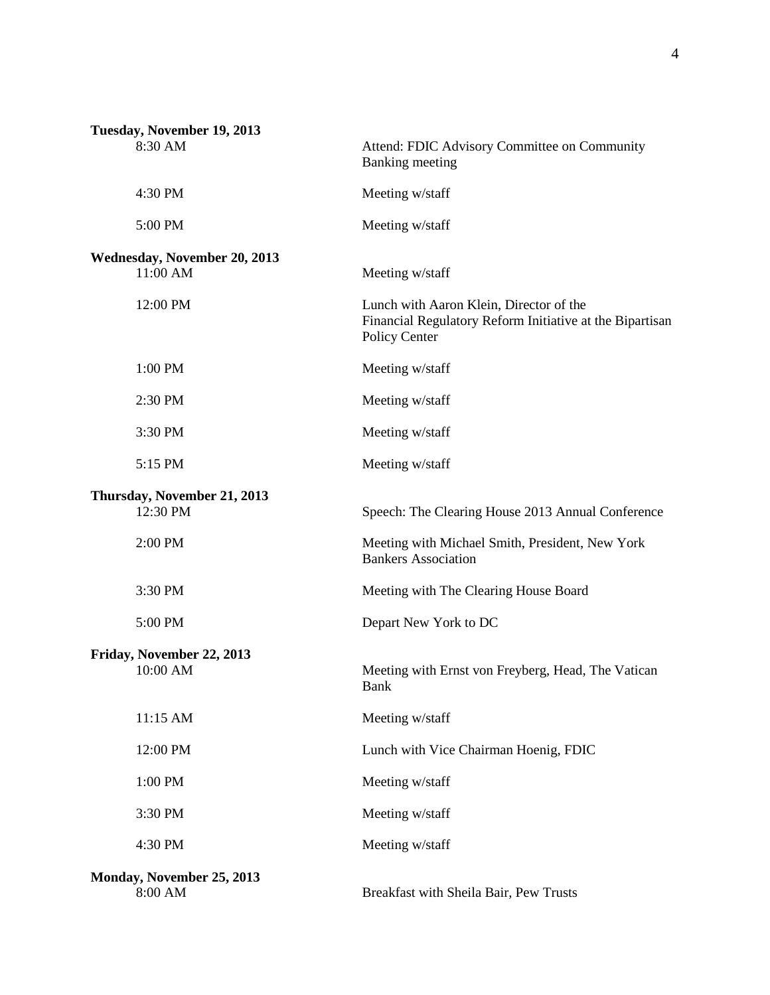| Tuesday, November 19, 2013              |                                                                                                                      |
|-----------------------------------------|----------------------------------------------------------------------------------------------------------------------|
| 8:30 AM                                 | Attend: FDIC Advisory Committee on Community<br><b>Banking</b> meeting                                               |
| 4:30 PM                                 | Meeting w/staff                                                                                                      |
| 5:00 PM                                 | Meeting w/staff                                                                                                      |
| Wednesday, November 20, 2013            |                                                                                                                      |
| 11:00 AM                                | Meeting w/staff                                                                                                      |
| 12:00 PM                                | Lunch with Aaron Klein, Director of the<br>Financial Regulatory Reform Initiative at the Bipartisan<br>Policy Center |
| 1:00 PM                                 | Meeting w/staff                                                                                                      |
| 2:30 PM                                 | Meeting w/staff                                                                                                      |
| 3:30 PM                                 | Meeting w/staff                                                                                                      |
| 5:15 PM                                 | Meeting w/staff                                                                                                      |
| Thursday, November 21, 2013<br>12:30 PM | Speech: The Clearing House 2013 Annual Conference                                                                    |
| 2:00 PM                                 | Meeting with Michael Smith, President, New York<br><b>Bankers Association</b>                                        |
| 3:30 PM                                 | Meeting with The Clearing House Board                                                                                |
| 5:00 PM                                 | Depart New York to DC                                                                                                |
| Friday, November 22, 2013<br>10:00 AM   | Meeting with Ernst von Freyberg, Head, The Vatican<br>Bank                                                           |
| 11:15 AM                                | Meeting w/staff                                                                                                      |
| 12:00 PM                                | Lunch with Vice Chairman Hoenig, FDIC                                                                                |
| 1:00 PM                                 | Meeting w/staff                                                                                                      |
| 3:30 PM                                 | Meeting w/staff                                                                                                      |
| 4:30 PM                                 | Meeting w/staff                                                                                                      |
| Monday, November 25, 2013<br>8:00 AM    | Breakfast with Sheila Bair, Pew Trusts                                                                               |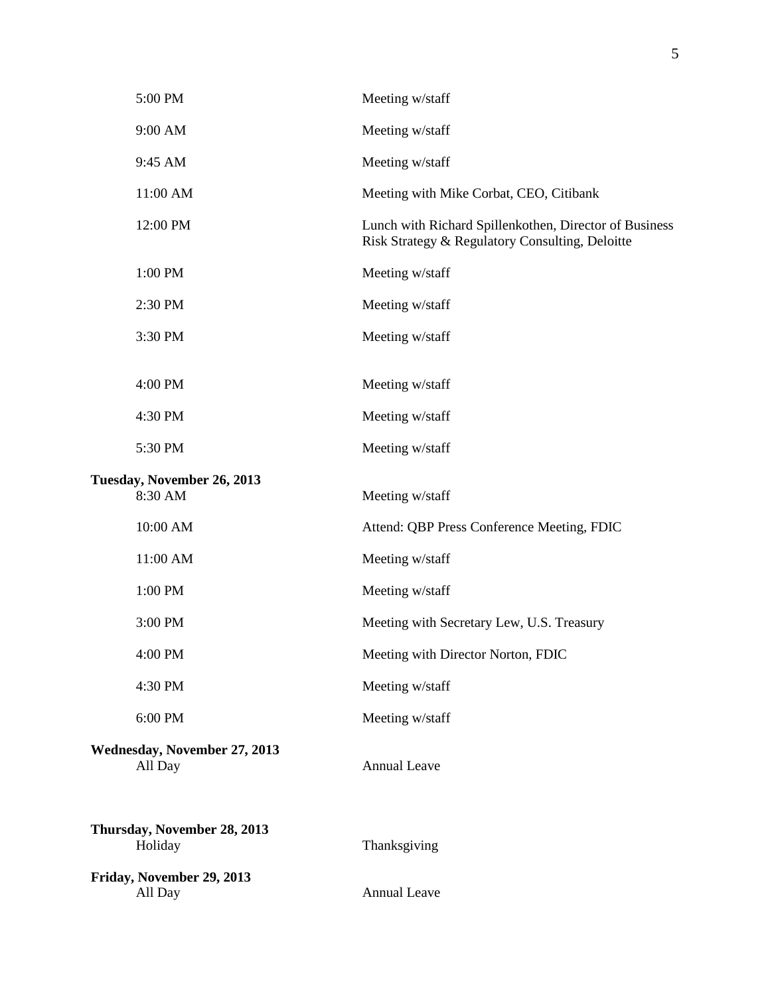|                                        | 5:00 PM                                        | Meeting w/staff                                                                                           |  |  |
|----------------------------------------|------------------------------------------------|-----------------------------------------------------------------------------------------------------------|--|--|
|                                        | 9:00 AM                                        | Meeting w/staff                                                                                           |  |  |
|                                        | 9:45 AM                                        | Meeting w/staff                                                                                           |  |  |
|                                        | 11:00 AM                                       | Meeting with Mike Corbat, CEO, Citibank                                                                   |  |  |
|                                        | 12:00 PM                                       | Lunch with Richard Spillenkothen, Director of Business<br>Risk Strategy & Regulatory Consulting, Deloitte |  |  |
|                                        | 1:00 PM                                        | Meeting w/staff                                                                                           |  |  |
|                                        | 2:30 PM                                        | Meeting w/staff                                                                                           |  |  |
|                                        | 3:30 PM                                        | Meeting w/staff                                                                                           |  |  |
|                                        | 4:00 PM                                        |                                                                                                           |  |  |
|                                        |                                                | Meeting w/staff                                                                                           |  |  |
|                                        | 4:30 PM                                        | Meeting w/staff                                                                                           |  |  |
|                                        | 5:30 PM                                        | Meeting w/staff                                                                                           |  |  |
| Tuesday, November 26, 2013             |                                                |                                                                                                           |  |  |
|                                        | 8:30 AM                                        | Meeting w/staff                                                                                           |  |  |
|                                        | 10:00 AM                                       | Attend: QBP Press Conference Meeting, FDIC                                                                |  |  |
|                                        | 11:00 AM                                       | Meeting w/staff                                                                                           |  |  |
|                                        | 1:00 PM                                        | Meeting w/staff                                                                                           |  |  |
|                                        | 3:00 PM                                        | Meeting with Secretary Lew, U.S. Treasury                                                                 |  |  |
|                                        | 4:00 PM                                        | Meeting with Director Norton, FDIC                                                                        |  |  |
|                                        | 4:30 PM                                        | Meeting w/staff                                                                                           |  |  |
|                                        | 6:00 PM                                        | Meeting w/staff                                                                                           |  |  |
|                                        | <b>Wednesday, November 27, 2013</b><br>All Day | <b>Annual Leave</b>                                                                                       |  |  |
| Thursday, November 28, 2013<br>Holiday |                                                | Thanksgiving                                                                                              |  |  |
|                                        | Friday, November 29, 2013<br>All Day           | <b>Annual Leave</b>                                                                                       |  |  |
|                                        |                                                |                                                                                                           |  |  |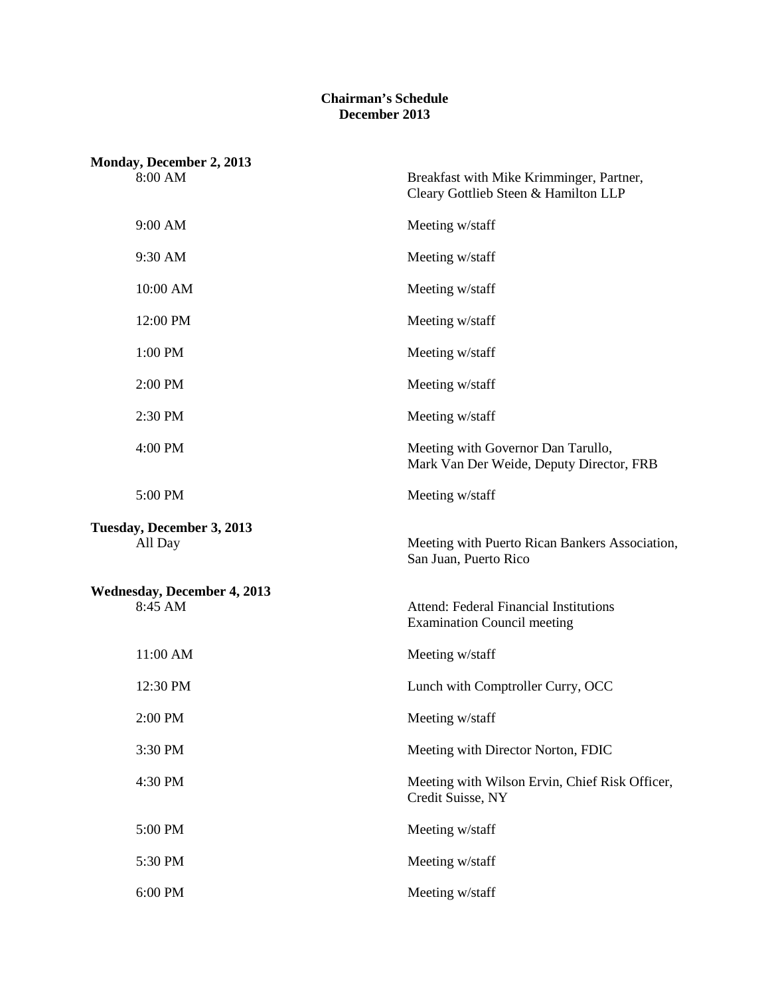## **Chairman's Schedule December 2013**

| Monday, December 2, 2013                      |                                                                                     |  |  |
|-----------------------------------------------|-------------------------------------------------------------------------------------|--|--|
| 8:00 AM                                       | Breakfast with Mike Krimminger, Partner,<br>Cleary Gottlieb Steen & Hamilton LLP    |  |  |
| 9:00 AM                                       | Meeting w/staff                                                                     |  |  |
| 9:30 AM                                       | Meeting w/staff                                                                     |  |  |
| 10:00 AM                                      | Meeting w/staff                                                                     |  |  |
| 12:00 PM                                      | Meeting w/staff                                                                     |  |  |
| 1:00 PM                                       | Meeting w/staff                                                                     |  |  |
| 2:00 PM                                       | Meeting w/staff                                                                     |  |  |
| 2:30 PM                                       | Meeting w/staff                                                                     |  |  |
| 4:00 PM                                       | Meeting with Governor Dan Tarullo,<br>Mark Van Der Weide, Deputy Director, FRB      |  |  |
| 5:00 PM                                       | Meeting w/staff                                                                     |  |  |
| Tuesday, December 3, 2013<br>All Day          | Meeting with Puerto Rican Bankers Association,<br>San Juan, Puerto Rico             |  |  |
| <b>Wednesday, December 4, 2013</b><br>8:45 AM | <b>Attend: Federal Financial Institutions</b><br><b>Examination Council meeting</b> |  |  |
| 11:00 AM                                      | Meeting w/staff                                                                     |  |  |
| 12:30 PM                                      | Lunch with Comptroller Curry, OCC                                                   |  |  |
| 2:00 PM                                       | Meeting w/staff                                                                     |  |  |
| 3:30 PM                                       | Meeting with Director Norton, FDIC                                                  |  |  |
| 4:30 PM                                       | Meeting with Wilson Ervin, Chief Risk Officer,<br>Credit Suisse, NY                 |  |  |
| 5:00 PM                                       | Meeting w/staff                                                                     |  |  |
| 5:30 PM                                       | Meeting w/staff                                                                     |  |  |
| 6:00 PM                                       | Meeting w/staff                                                                     |  |  |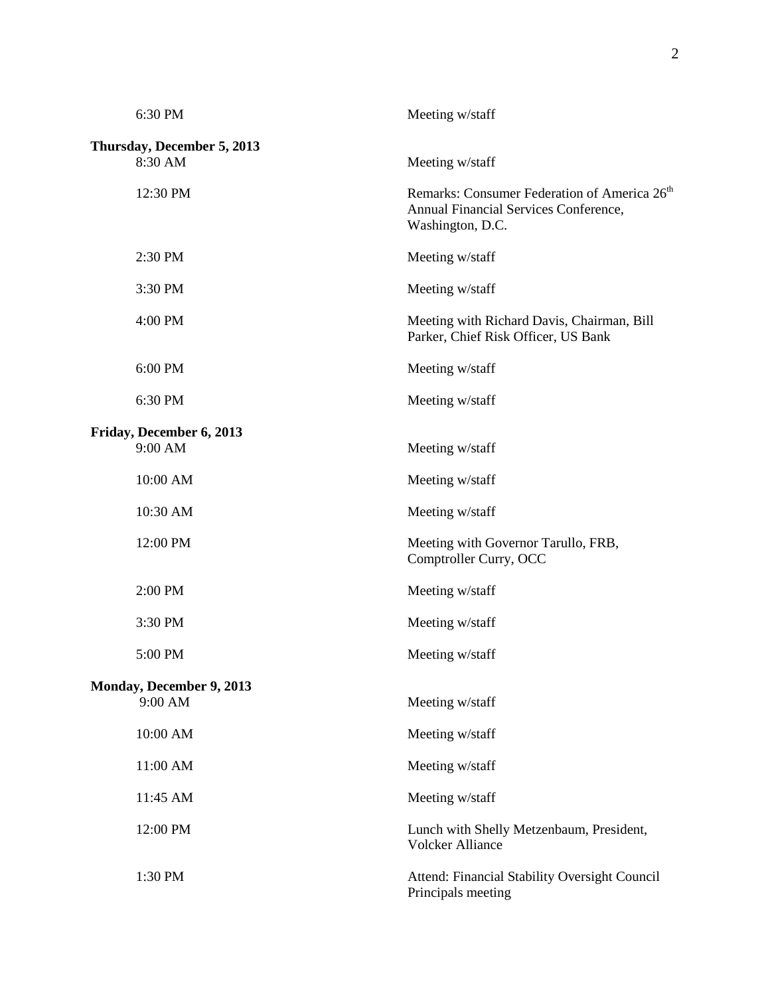| 6:30 PM                               | Meeting w/staff                                                                                                       |
|---------------------------------------|-----------------------------------------------------------------------------------------------------------------------|
| Thursday, December 5, 2013<br>8:30 AM | Meeting w/staff                                                                                                       |
| 12:30 PM                              | Remarks: Consumer Federation of America 26 <sup>th</sup><br>Annual Financial Services Conference,<br>Washington, D.C. |
| 2:30 PM                               | Meeting w/staff                                                                                                       |
| 3:30 PM                               | Meeting w/staff                                                                                                       |
| 4:00 PM                               | Meeting with Richard Davis, Chairman, Bill<br>Parker, Chief Risk Officer, US Bank                                     |
| 6:00 PM                               | Meeting w/staff                                                                                                       |
| 6:30 PM                               | Meeting w/staff                                                                                                       |
| Friday, December 6, 2013<br>9:00 AM   | Meeting w/staff                                                                                                       |
| 10:00 AM                              | Meeting w/staff                                                                                                       |
| 10:30 AM                              | Meeting w/staff                                                                                                       |
| 12:00 PM                              | Meeting with Governor Tarullo, FRB,<br>Comptroller Curry, OCC                                                         |
| 2:00 PM                               | Meeting w/staff                                                                                                       |
| 3:30 PM                               | Meeting w/staff                                                                                                       |
| 5:00 PM                               | Meeting w/staff                                                                                                       |
| Monday, December 9, 2013<br>9:00 AM   | Meeting w/staff                                                                                                       |
| 10:00 AM                              | Meeting w/staff                                                                                                       |
| 11:00 AM                              | Meeting w/staff                                                                                                       |
| 11:45 AM                              | Meeting w/staff                                                                                                       |
| 12:00 PM                              | Lunch with Shelly Metzenbaum, President,<br><b>Volcker Alliance</b>                                                   |
| 1:30 PM                               | Attend: Financial Stability Oversight Council<br>Principals meeting                                                   |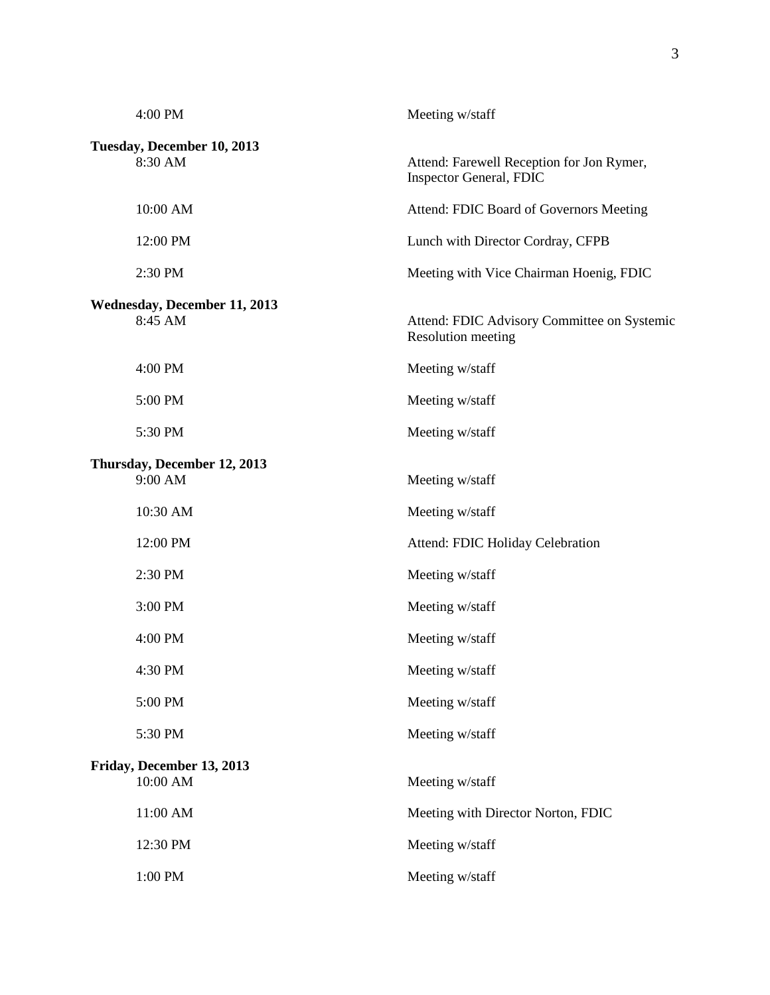| 4:00 PM                                        | Meeting w/staff                                                      |
|------------------------------------------------|----------------------------------------------------------------------|
| Tuesday, December 10, 2013<br>8:30 AM          | Attend: Farewell Reception for Jon Rymer,<br>Inspector General, FDIC |
| 10:00 AM                                       | Attend: FDIC Board of Governors Meeting                              |
| 12:00 PM                                       | Lunch with Director Cordray, CFPB                                    |
| 2:30 PM                                        | Meeting with Vice Chairman Hoenig, FDIC                              |
| <b>Wednesday, December 11, 2013</b><br>8:45 AM | Attend: FDIC Advisory Committee on Systemic<br>Resolution meeting    |
| 4:00 PM                                        | Meeting w/staff                                                      |
| 5:00 PM                                        | Meeting w/staff                                                      |
| 5:30 PM                                        | Meeting w/staff                                                      |
| Thursday, December 12, 2013<br>9:00 AM         | Meeting w/staff                                                      |
| 10:30 AM                                       | Meeting w/staff                                                      |
| 12:00 PM                                       | Attend: FDIC Holiday Celebration                                     |
| 2:30 PM                                        | Meeting w/staff                                                      |
| 3:00 PM                                        | Meeting w/staff                                                      |
| 4:00 PM                                        | Meeting w/staff                                                      |
| 4:30 PM                                        | Meeting w/staff                                                      |
| 5:00 PM                                        | Meeting w/staff                                                      |
| 5:30 PM                                        | Meeting w/staff                                                      |
| Friday, December 13, 2013<br>10:00 AM          | Meeting w/staff                                                      |
| 11:00 AM                                       | Meeting with Director Norton, FDIC                                   |
| 12:30 PM                                       | Meeting w/staff                                                      |
| 1:00 PM                                        | Meeting w/staff                                                      |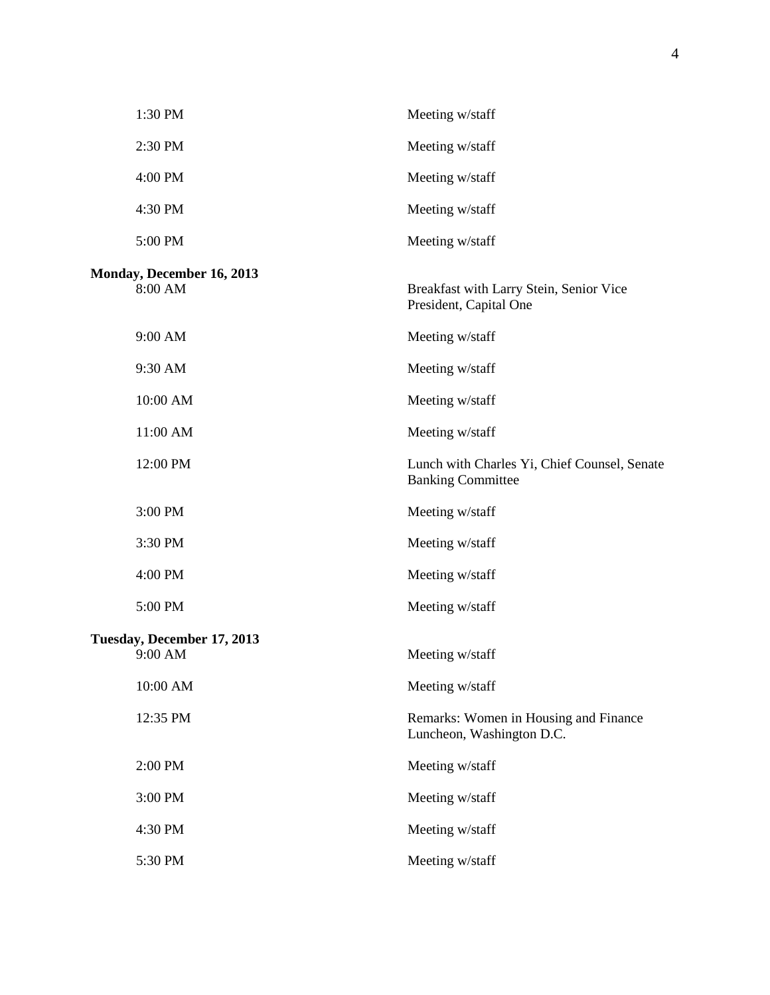| 1:30 PM                               | Meeting w/staff                                                          |
|---------------------------------------|--------------------------------------------------------------------------|
| 2:30 PM                               | Meeting w/staff                                                          |
| 4:00 PM                               | Meeting w/staff                                                          |
| 4:30 PM                               | Meeting w/staff                                                          |
| 5:00 PM                               | Meeting w/staff                                                          |
| Monday, December 16, 2013<br>8:00 AM  | Breakfast with Larry Stein, Senior Vice<br>President, Capital One        |
| 9:00 AM                               | Meeting w/staff                                                          |
| 9:30 AM                               | Meeting w/staff                                                          |
| 10:00 AM                              | Meeting w/staff                                                          |
| 11:00 AM                              | Meeting w/staff                                                          |
| 12:00 PM                              | Lunch with Charles Yi, Chief Counsel, Senate<br><b>Banking Committee</b> |
| 3:00 PM                               | Meeting w/staff                                                          |
| 3:30 PM                               | Meeting w/staff                                                          |
| 4:00 PM                               | Meeting w/staff                                                          |
| 5:00 PM                               | Meeting w/staff                                                          |
| Tuesday, December 17, 2013<br>9:00 AM | Meeting w/staff                                                          |
| 10:00 AM                              | Meeting w/staff                                                          |
| 12:35 PM                              | Remarks: Women in Housing and Finance<br>Luncheon, Washington D.C.       |
| 2:00 PM                               | Meeting w/staff                                                          |
| 3:00 PM                               | Meeting w/staff                                                          |
| 4:30 PM                               | Meeting w/staff                                                          |
| 5:30 PM                               | Meeting w/staff                                                          |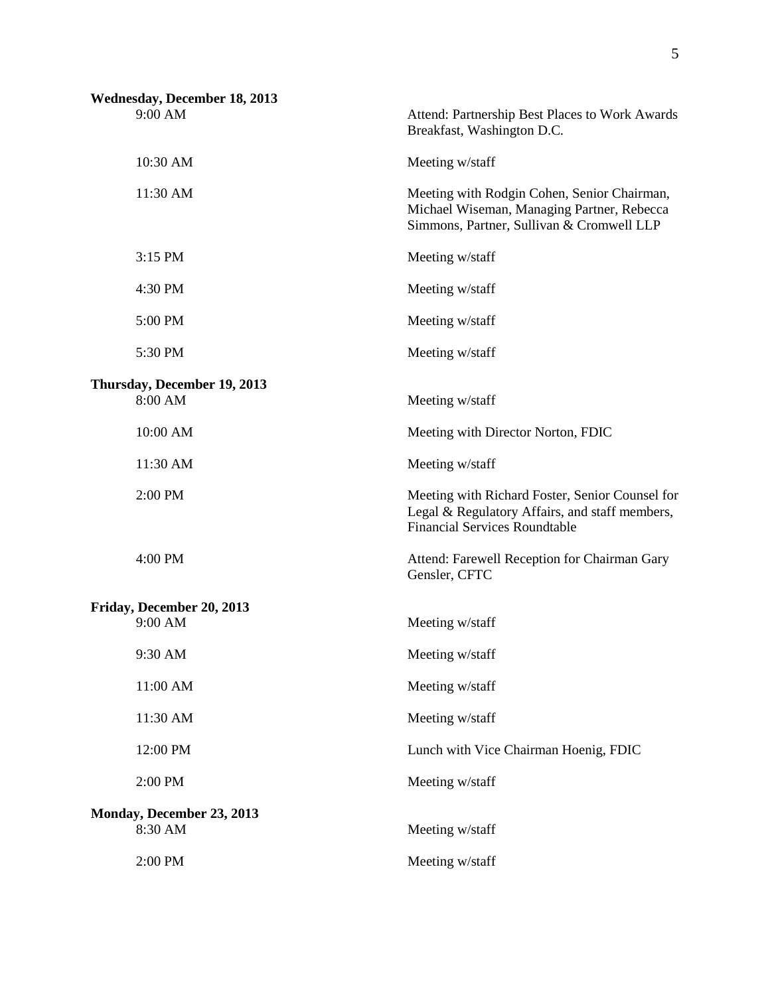| 10:30 AM<br>Meeting w/staff<br>11:30 AM<br>3:15 PM<br>Meeting w/staff<br>4:30 PM<br>Meeting w/staff<br>5:00 PM<br>Meeting w/staff<br>5:30 PM<br>Meeting w/staff<br>Thursday, December 19, 2013<br>8:00 AM<br>Meeting w/staff<br>10:00 AM<br>Meeting with Director Norton, FDIC<br>11:30 AM<br>Meeting w/staff<br>2:00 PM<br><b>Financial Services Roundtable</b><br>4:00 PM<br>Gensler, CFTC<br>Friday, December 20, 2013<br>9:00 AM<br>Meeting w/staff<br>9:30 AM<br>Meeting w/staff<br>11:00 AM<br>Meeting w/staff<br>11:30 AM<br>Meeting w/staff<br>12:00 PM<br>Lunch with Vice Chairman Hoenig, FDIC<br>2:00 PM<br>Meeting w/staff<br>Monday, December 23, 2013<br>8:30 AM<br>Meeting w/staff | <b>Wednesday, December 18, 2013</b><br>9:00 AM | Attend: Partnership Best Places to Work Awards<br>Breakfast, Washington D.C.                                                           |
|---------------------------------------------------------------------------------------------------------------------------------------------------------------------------------------------------------------------------------------------------------------------------------------------------------------------------------------------------------------------------------------------------------------------------------------------------------------------------------------------------------------------------------------------------------------------------------------------------------------------------------------------------------------------------------------------------|------------------------------------------------|----------------------------------------------------------------------------------------------------------------------------------------|
|                                                                                                                                                                                                                                                                                                                                                                                                                                                                                                                                                                                                                                                                                                   |                                                |                                                                                                                                        |
|                                                                                                                                                                                                                                                                                                                                                                                                                                                                                                                                                                                                                                                                                                   |                                                | Meeting with Rodgin Cohen, Senior Chairman,<br>Michael Wiseman, Managing Partner, Rebecca<br>Simmons, Partner, Sullivan & Cromwell LLP |
|                                                                                                                                                                                                                                                                                                                                                                                                                                                                                                                                                                                                                                                                                                   |                                                |                                                                                                                                        |
|                                                                                                                                                                                                                                                                                                                                                                                                                                                                                                                                                                                                                                                                                                   |                                                |                                                                                                                                        |
|                                                                                                                                                                                                                                                                                                                                                                                                                                                                                                                                                                                                                                                                                                   |                                                |                                                                                                                                        |
|                                                                                                                                                                                                                                                                                                                                                                                                                                                                                                                                                                                                                                                                                                   |                                                |                                                                                                                                        |
|                                                                                                                                                                                                                                                                                                                                                                                                                                                                                                                                                                                                                                                                                                   |                                                |                                                                                                                                        |
|                                                                                                                                                                                                                                                                                                                                                                                                                                                                                                                                                                                                                                                                                                   |                                                |                                                                                                                                        |
|                                                                                                                                                                                                                                                                                                                                                                                                                                                                                                                                                                                                                                                                                                   |                                                |                                                                                                                                        |
|                                                                                                                                                                                                                                                                                                                                                                                                                                                                                                                                                                                                                                                                                                   |                                                | Meeting with Richard Foster, Senior Counsel for<br>Legal & Regulatory Affairs, and staff members,                                      |
|                                                                                                                                                                                                                                                                                                                                                                                                                                                                                                                                                                                                                                                                                                   |                                                | Attend: Farewell Reception for Chairman Gary                                                                                           |
|                                                                                                                                                                                                                                                                                                                                                                                                                                                                                                                                                                                                                                                                                                   |                                                |                                                                                                                                        |
|                                                                                                                                                                                                                                                                                                                                                                                                                                                                                                                                                                                                                                                                                                   |                                                |                                                                                                                                        |
|                                                                                                                                                                                                                                                                                                                                                                                                                                                                                                                                                                                                                                                                                                   |                                                |                                                                                                                                        |
|                                                                                                                                                                                                                                                                                                                                                                                                                                                                                                                                                                                                                                                                                                   |                                                |                                                                                                                                        |
|                                                                                                                                                                                                                                                                                                                                                                                                                                                                                                                                                                                                                                                                                                   |                                                |                                                                                                                                        |
|                                                                                                                                                                                                                                                                                                                                                                                                                                                                                                                                                                                                                                                                                                   |                                                |                                                                                                                                        |
|                                                                                                                                                                                                                                                                                                                                                                                                                                                                                                                                                                                                                                                                                                   |                                                |                                                                                                                                        |
|                                                                                                                                                                                                                                                                                                                                                                                                                                                                                                                                                                                                                                                                                                   |                                                |                                                                                                                                        |
| 2:00 PM<br>Meeting w/staff                                                                                                                                                                                                                                                                                                                                                                                                                                                                                                                                                                                                                                                                        |                                                |                                                                                                                                        |